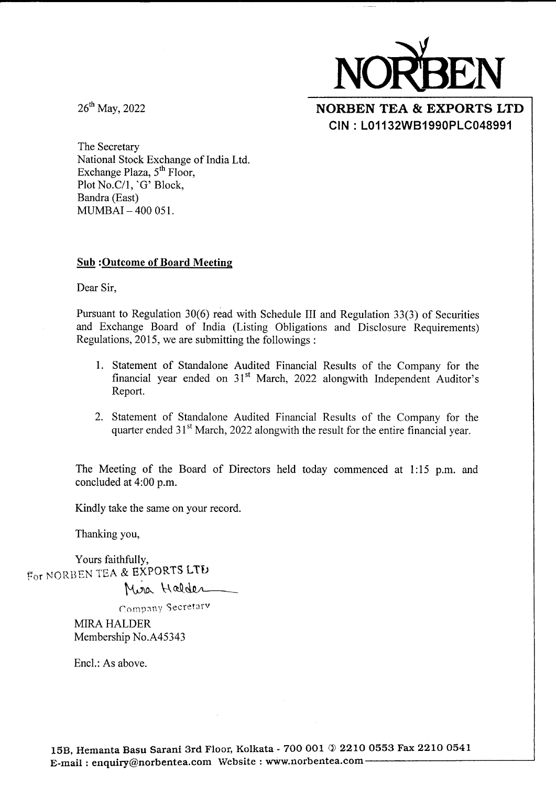

26<sup>th</sup> May, 2022

NORBEN TEA & EXPORTS LTD CIN : L01132W81990PLC048991

The Secretary National Stock Exchange of India Ltd. Exchange Plaza,  $5<sup>th</sup>$  Floor, Plot No.C/1, 'G' Block, Bandra (East) MUMBAI - 4OO 051.

#### Sub :Outcome of Board Meeting

Dear Sir,

Pursuant to Regulation 30(6) read with Schedule III and Regulation 33(3) of Securities and Exchange Board of India (Listing Obligations and Disclosure Requirements) Regulations,2015, we are submitting the followings :

- l. Statement of Standalone Audited Financial Results of the Company for the financial year ended on 31't March, 2022 alongwith Independent Auditor's Report.
- 2. Statement of Standalone Audited Financial Results of the Company for the quarter ended 31<sup>st</sup> March, 2022 alongwith the result for the entire financial year.

The Meeting of the Board of Directors held today commenced at 1:15 p.m. and concluded at 4:00 p.m.

Kindly take the same on your record.

Thanking you,

Yours faithfullv. For NORBEN TEA & EXPORTS LTD

Mira Halder

Company Secretary

MIRA HALDER Membership No.445343

Encl.: As above.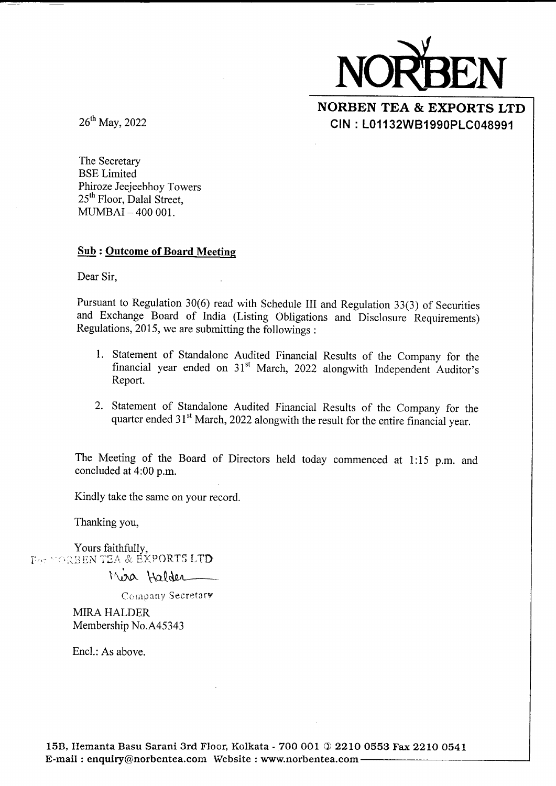

NORBEN TEA & EXPORTS LTD CIN : L011 32W81 990PLC048991

26<sup>th</sup> May, 2022

The Secretary BSE Limited Phiroze Jeeieebhoy Towers 25<sup>th</sup> Floor, Dalal Street, MUMBAI - 4OO OO1.

#### Sub : Outcome of Board Meeting

Dear Sir,

Pursuant to Regulation 30(6) read with Schedule III and Regulation 33(3) of Securities and Exchange Board of India (Listing Obligations and Disclosure Requirements) Regulations,2015, we are submitting the followings :

- l. Statement of Standalone Audited Financial Results of the Company for the financial year ended on 31't March, 2022 alongwith Independent Auditor's Report.
- 2. Statement of Standalone Audited Financial Results of the Company for the quarter ended 31<sup>st</sup> March, 2022 alongwith the result for the entire financial year.

The Meeting of the Board of Directors held today commenced at 1:15 p.m. and concluded at 4:00 p.m.

Kindly take the same on your record.

Thanking you,

Yours faithfully, For YORBEN TEA & EXPORTS LTD

 $\,\mathrm{\sim}$  Halter

Company Secretary

MIRA HALDER Membership No.A45343

Encl.: As above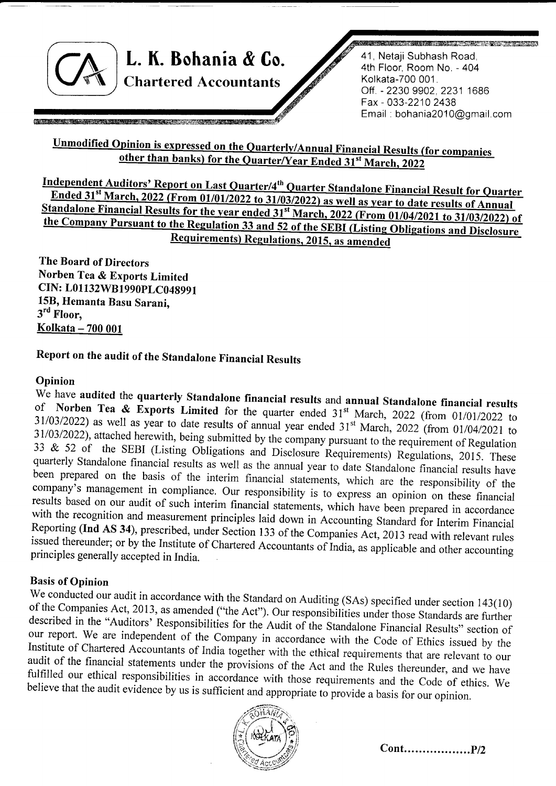L. K. Bohania & Co. Chartered Accountants

<u> Kabupatèn Bandaré Bandaré Bandaré Bandaré Bandaré Bandaré Bandaré Bandaré Bandaré Bandaré Bandaré Bandaré Ba</u>

41, Netaji Subhash Road, 4th Floor, Room No. - 404 Kolkata-700 001. Off. - 2230 9902, 2231 1686 Fax - 033-2210 2438 Email : bohania20l 0@gmail.com

## <u>Unmodified Opinion</u> <u>e Quarter/Year Ended 31st March, 2</u>

<u>on Last</u> Quarter/4<sup>th</sup> 31<sup>st</sup> March, 2022 (From 01/01/2022 to 31/03/2022) as well as <u>ts) Regulations, 2</u> the Company Pursuant to the Regulation 33 and 52 of the SEBI (Listing Obligations and Disclosure Standalone Financial Results for the year ended 31<sup>st</sup> March, 2022 (From 01/04/2021 to 31/03/2022) of

The Board of Directors Norben Tea & Exports Limited CIN: L01 132W81990pLC048991 15B, Hemanta Basu Sarani, 3<sup>rd</sup> Floor. Kolkata - 700 001

# Report on the audit of the Standalone Financial Results

Opinion<br>We have audited the quarterly Standalone financial results and annual Standalone financial results of Norben Tea & Exports Limited for the quarter ended  $31^{st}$  March, 2022 (from 01/01/2022 to 31/03/2022) as well as year to date results of annual year ended  $31^{st}$  March, 2022 (from 01/04/2021 to  $31/03/2022$ ), attached herewith, being submitted by the company pursuant to the requirement of Regulation  $33 \& 52$  of the SEBI (Listing Obligations and Disclosure Requirements) Regulations, 2015. These quarterly Standal

Basis of Opinion<br>We conducted our audit in accordance with the Standard on Auditing (SAs) specified under section 143(10) of the Companies Act, 2013, as amended ("the Act"). Our responsibilities under those Standards are further described in the "Auditors' Responsibilities for the Audit of the Standalone Financial Results" section of our repo

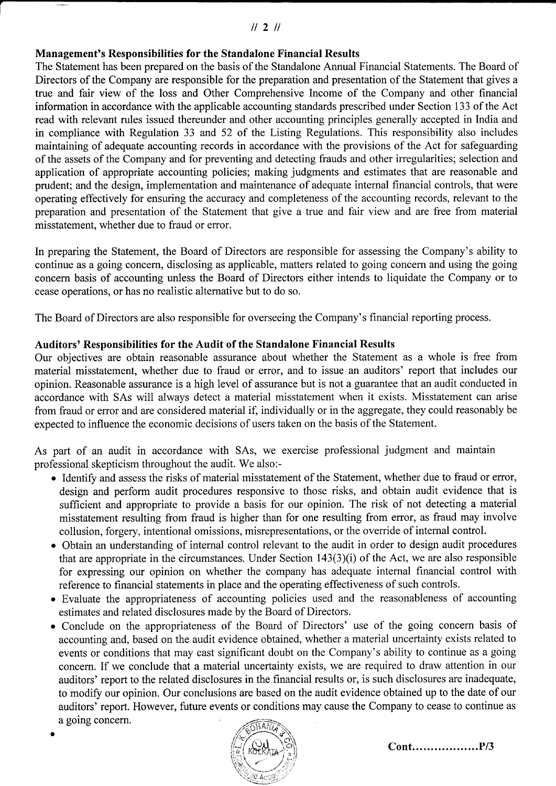### $1121$

## Management's Responsibilities for the Standalone Financial Results

The Statement has been prepared on the basis of the Standalone Annual Financial Statements. The Board of Directors of the Company are responsible for the preparation and presentation of the Statement that gives a true and fair view of the loss and Other Comprehensive Income of the Company and other financial information in accordance with the applicable accounting standards prescribed under Section 133 of the Act read with relevant rules issued thereunder and other accounting principles generally accepted in India and in compliance with Regulation 33 and 52 of the Listing Regulations. This responsibility also includes maintaining of adequate accounting records in accordance with the provisions of the Act for safeguarding of the assets of the Company and for preventing and detecting frauds and other irregularities; selection and application of appropriate accounting policies; making judgments and estimates that are reasonable and prudent; and the design, implementation and maintenance of adequate internal financial controls, that were operating effectively for ensuring the accuracy and completeness of the accounting records, relevant to the preparation and presentation of the Statement that give a true and fair view and are free from material misstatement, whether due to fraud or error.

In preparing the Statement, the Board of Directors are responsible for assessing the Company's ability to continue as a going concern, disclosing as applicable, matters related to going concern and using the going concern basis of accounting unless the Board of Directors either intends to liquidate the Company or to cease operations, or has no realistic alternative but to do so.

The Board of Directors are also responsible for overseeing the Company's financial reporting process.

#### Auditors' Responsibilities for the Audit of the Standalone Financial Results

Our objectives are obtain reasonable assurance about whether the Statement as a whole is free from material misstatement, whether due to fraud or error, and to issue an auditors' report that includes our opinion. Reasonable assurance is a high level of assurance but is not a guarantee that an audit conducted in accordance with SAs will always detect a material misstatement when it exists. Misstatement can arise from fraud or error and are considered material if, individually or in the aggregate, they could reasonably be expected to influence the economic decisions of users taken on the basis of the Statement.

As part of an audit in accordance with SAs, we exercise professional judgment and maintain professional skepticism throughout the audit. We also:-

- Identify and assess the risks of material misstatement of the Statement, whether due to fraud or error, design and perform audit procedures responsive to those risks, and obtain audit evidence that is sufficient and appropriate to provide a basis for our opinion. The risk of not detecting a material misstatement resulting from fraud is higher than for one resulting from error, as fraud may involve collusion, forgery, intentional omissions, misrepresentations, or the override of internal control.
- . Obtain an understanding of intemal control relevant to the audit in order to design audit procedures that are appropriate in the circumstances. Under Section  $143(3)(i)$  of the Act, we are also responsible for expressing our opinion on whether the company has adequate internal financial control with reference to financial statements in place and the operating effectiveness of such controls.
- o Evaluate the appropriateness of accounting policies used and the reasonableness of accounting estimates and related disclosures made by the Board of Directors.
- . Conclude on the appropriateness of the Board of Directors' use of the going concern basis of accounting and, based on the audit evidence obtained, whether a material uncertainty exists related to events or conditions that may cast significant doubt on the Company's ability to continue as a going concern. If we conclude that a material uncertainty exists, we are required to draw attention in our auditors' report to the related disclosures in the financial results or, is such disclosures are inadequate, to modify our opinion. Our conclusions are based on the audit evidence obtained up to the date of our auditors' report. However, future events or conditions may cause the Company to cease to continue as a going concern.



a

Cont Pt3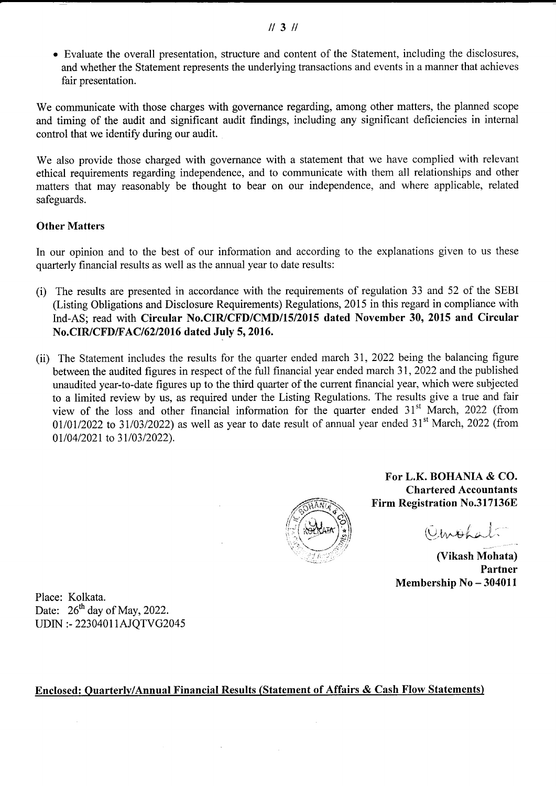$II$  3  $II$ 

o Evaluate the overall presentation, structure and content of the Statement, including the disclosures, and whether the Statement represents the underlying transactions and events in a manner that achieves fair presentation.

We communicate with those charges with governance regarding, among other matters, the planned scope and timing of the audit and significant audit findings, including any significant deficiencies in internal control that we identify during our audit.

We also provide those charged with governance with a statement that we have complied with relevant ethical requirements regarding independence, and to communicate with them all relationships and other matters that may reasonably be thought to bear on our independence, and where applicable, related safeguards.

### Other Matters

In our opinion and to the best of our information and according to the explanations given to us these quarterly financial results as well as the annual year to date results:

- (i) The results are presented in accordance with the requirements of regulation 33 and 52 of the SEBI (Listing Obligations and Disclosure Requirements) Regulations, 2015 in this regard in compliance with Ind-AS; read with Circular No.CIR/CFD/CMD/15/2015 dated November 30, 2015 and Circular No.CIR/CFD/FAC/6212016 dated July 5, 2016.
- (ii) The Statement includes the results for the quarter ended march 31,2022 being the balancing figure between the audited figures in respect of the full financial year ended march 31, 2022 and the published unaudited year-to-date figures up to the third quarter of the current financial year, which were subjected to a limited review by us, as required under the Listing Regulations. The results give a true and fair view of the loss and other financial information for the quarter ended 31<sup>st</sup> March, 2022 (from  $01/01/2022$  to 31/03/2022) as well as year to date result of annual year ended 31<sup>st</sup> March, 2022 (from 01/04/2021 to 31/03/2022).



For L.K. BOHANIA & CO. Chartered Accountants Firm Registration No.317136E

il  $Q$ *mbha* 

(Vikash Mohata) Partner Membership No - 304011

Place: Kolkata. Date:  $26^{th}$  day of May, 2022. UDIN :- 22304011AJQTVG2045

#### Enclosed: Ouarterly/Annual Financial Results (Statement of Affairs & Cash Flow Statements)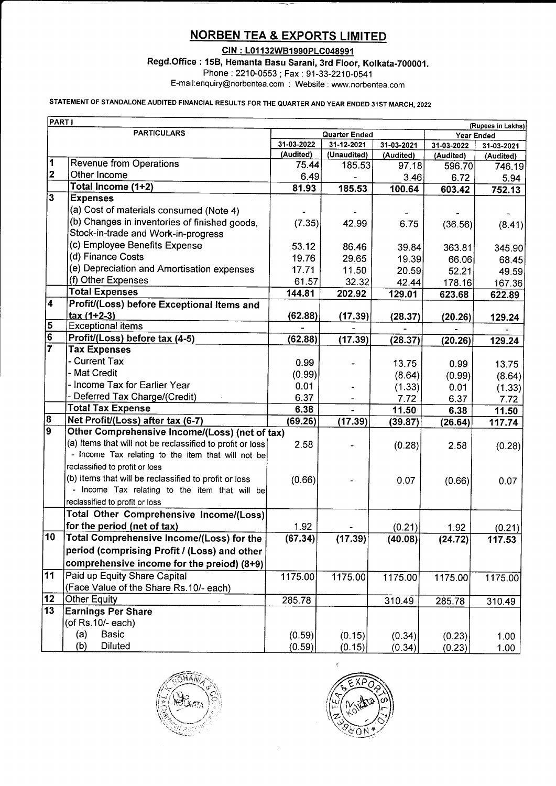# **NORBEN TEA & EXPORTS LIMITED**

CIN : L01132WB1990PLC048991

Regd.Office : 158, Hemanta Basu Sarani, 3rd Floor, Kolkata-700001

Phone :2210-0553; Fax : 91-33-2210-0541

E-mail:enquiry@norbentea.com ; Website : www.norbentea.com

## STATEMENT OF STANDALONE AUDITED FINANCIAL RESULTS FOR THE QUARTER AND YEAR ENDED 31ST MARCH, 2022

| <b>PART I</b><br>(Rupees in Lakhs) |                                                           |            |                      |            |            |            |  |
|------------------------------------|-----------------------------------------------------------|------------|----------------------|------------|------------|------------|--|
|                                    | <b>PARTICULARS</b>                                        |            | <b>Quarter Ended</b> |            |            | Year Ended |  |
|                                    |                                                           | 31-03-2022 | 31-12-2021           | 31-03-2021 | 31-03-2022 | 31-03-2021 |  |
|                                    |                                                           | (Audited)  | (Unaudited)          | (Audited)  | (Audited)  | (Audited)  |  |
| 1                                  | <b>Revenue from Operations</b>                            | 75.44      | 185.53               | 97.18      | 596.70     | 746.19     |  |
| $\mathbf{2}$                       | Other Income                                              | 6.49       |                      | 3.46       | 6.72       | 5.94       |  |
| $\overline{3}$                     | Total Income (1+2)                                        | 81.93      | 185.53               | 100.64     | 603.42     | 752.13     |  |
|                                    | <b>Expenses</b>                                           |            |                      |            |            |            |  |
|                                    | (a) Cost of materials consumed (Note 4)                   |            |                      |            |            |            |  |
|                                    | (b) Changes in inventories of finished goods,             | (7.35)     | 42.99                | 6.75       | (36.56)    | (8.41)     |  |
|                                    | Stock-in-trade and Work-in-progress                       |            |                      |            |            |            |  |
|                                    | (c) Employee Benefits Expense                             | 53.12      | 86.46                | 39.84      | 363.81     | 345.90     |  |
|                                    | (d) Finance Costs                                         | 19.76      | 29.65                | 19.39      | 66.06      | 68.45      |  |
|                                    | (e) Depreciation and Amortisation expenses                | 17.71      | 11.50                | 20.59      | 52.21      | 49.59      |  |
|                                    | (f) Other Expenses                                        | 61.57      | 32.32                | 42.44      | 178.16     | 167.36     |  |
| 4                                  | <b>Total Expenses</b>                                     | 144.81     | 202.92               | 129.01     | 623.68     | 622.89     |  |
|                                    | Profit/(Loss) before Exceptional Items and                |            |                      |            |            |            |  |
|                                    | tax (1+2-3)<br><b>Exceptional items</b>                   | (62.88)    | (17.39)              | (28.37)    | (20.26)    | 129.24     |  |
| $\frac{5}{6}$                      |                                                           |            |                      |            |            |            |  |
|                                    | Profit/(Loss) before tax (4-5)<br><b>Tax Expenses</b>     | (62.88)    | (17.39)              | (28.37)    | (20.26)    | 129.24     |  |
|                                    | - Current Tax                                             |            |                      |            |            |            |  |
|                                    | - Mat Credit                                              | 0.99       |                      | 13.75      | 0.99       | 13.75      |  |
|                                    | - Income Tax for Earlier Year                             | (0.99)     |                      | (8.64)     | (0.99)     | (8.64)     |  |
|                                    | - Deferred Tax Charge/(Credit)                            | 0.01       |                      | (1.33)     | 0.01       | (1.33)     |  |
|                                    | <b>Total Tax Expense</b>                                  | 6.37       |                      | 7.72       | 6.37       | 7.72       |  |
| 8                                  | Net Profit/(Loss) after tax (6-7)                         | 6.38       |                      | 11.50      | 6.38       | 11.50      |  |
| $\overline{9}$                     | Other Comprehensive Income/(Loss) (net of tax)            | (69.26)    | (17.39)              | (39.87)    | (26.64)    | 117.74     |  |
|                                    | (a) Items that will not be reclassified to profit or loss | 2.58       |                      |            |            |            |  |
|                                    | - Income Tax relating to the item that will not be        |            |                      | (0.28)     | 2.58       | (0.28)     |  |
|                                    | reclassified to profit or loss                            |            |                      |            |            |            |  |
|                                    | (b) Items that will be reclassified to profit or loss     | (0.66)     |                      | 0.07       |            |            |  |
|                                    | - Income Tax relating to the item that will be            |            |                      |            | (0.66)     | 0.07       |  |
|                                    | reclassified to profit or loss                            |            |                      |            |            |            |  |
|                                    | Total Other Comprehensive Income/(Loss)                   |            |                      |            |            |            |  |
|                                    | for the period (net of tax)                               | 1.92       |                      | (0.21)     | 1.92       | (0.21)     |  |
| 10                                 | Total Comprehensive Income/(Loss) for the                 | (67.34)    | (17.39)              | (40.08)    | (24.72)    | 117.53     |  |
|                                    | period (comprising Profit / (Loss) and other              |            |                      |            |            |            |  |
|                                    |                                                           |            |                      |            |            |            |  |
| $\overline{11}$                    | comprehensive income for the preiod) (8+9)                |            |                      |            |            |            |  |
|                                    | Paid up Equity Share Capital                              | 1175.00    | 1175.00              | 1175.00    | 1175.00    | 1175.00    |  |
| 12                                 | (Face Value of the Share Rs.10/- each)                    |            |                      |            |            |            |  |
| $\overline{13}$                    | <b>Other Equity</b>                                       | 285.78     |                      | 310.49     | 285.78     | 310.49     |  |
|                                    | <b>Earnings Per Share</b>                                 |            |                      |            |            |            |  |
|                                    | (of Rs.10/- each)                                         |            |                      |            |            |            |  |
|                                    | (a)<br><b>Basic</b>                                       | (0.59)     | (0.15)               | (0.34)     | (0.23)     | 1.00       |  |
|                                    | <b>Diluted</b><br>(b)                                     | (0.59)     | (0.15)               | (0.34)     | (0.23)     | 1.00       |  |



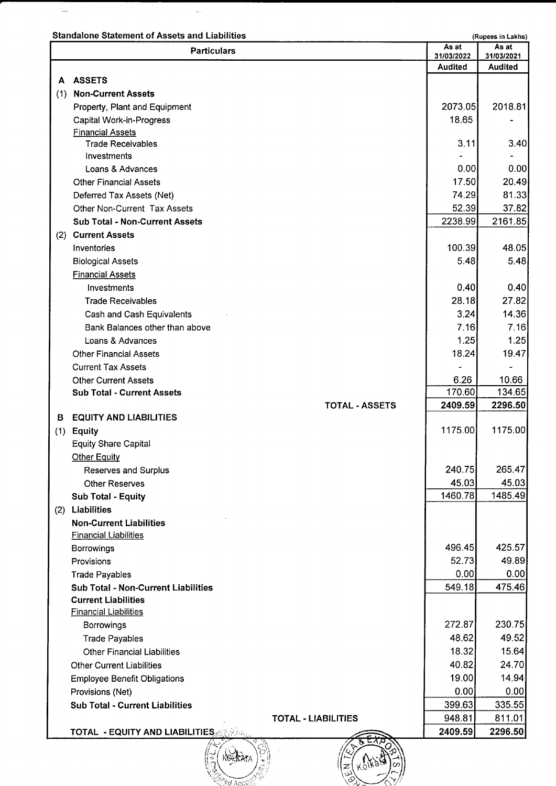Standalone Statement of Assets and Liabilities (Rupees in Lakhs) (Rupees in Lakhs)

 $\overline{\phantom{m}}$ 

 $\frac{1}{2}$ 

| <b>ASSETS</b><br>A<br><b>Non-Current Assets</b><br>(1)<br>Property, Plant and Equipment | 31/03/2022<br><b>Audited</b><br>2073.05<br>18.65<br>3.11 | 31/03/2021<br><b>Audited</b><br>2018.81 |
|-----------------------------------------------------------------------------------------|----------------------------------------------------------|-----------------------------------------|
|                                                                                         |                                                          |                                         |
|                                                                                         |                                                          |                                         |
|                                                                                         |                                                          |                                         |
|                                                                                         |                                                          |                                         |
| <b>Capital Work-in-Progress</b>                                                         |                                                          |                                         |
| <b>Financial Assets</b>                                                                 |                                                          |                                         |
| <b>Trade Receivables</b>                                                                |                                                          | 3.40                                    |
| Investments                                                                             |                                                          |                                         |
| Loans & Advances                                                                        | 0.00                                                     | 0.00                                    |
| <b>Other Financial Assets</b>                                                           | 17.50                                                    | 20.49                                   |
| Deferred Tax Assets (Net)                                                               | 74.29                                                    | 81.33                                   |
| Other Non-Current Tax Assets                                                            | 52.39                                                    | 37.82                                   |
| <b>Sub Total - Non-Current Assets</b>                                                   | 2238.99                                                  | 2161.85                                 |
| <b>Current Assets</b><br>(2)                                                            |                                                          |                                         |
| Inventories                                                                             | 100.39                                                   | 48.05                                   |
| <b>Biological Assets</b>                                                                | 5.48                                                     | 5.48                                    |
| <b>Financial Assets</b>                                                                 |                                                          |                                         |
| Investments                                                                             | 0.40                                                     | 0.40                                    |
| <b>Trade Receivables</b>                                                                | 28.18                                                    | 27.82                                   |
| Cash and Cash Equivalents                                                               | 3.24                                                     | 14.36                                   |
| Bank Balances other than above                                                          | 7.16                                                     | 7.16                                    |
| Loans & Advances                                                                        | 1.25                                                     | 1.25                                    |
| <b>Other Financial Assets</b>                                                           | 18.24                                                    | 19.47                                   |
| <b>Current Tax Assets</b>                                                               |                                                          |                                         |
| <b>Other Current Assets</b>                                                             | 6.26                                                     | 10.66                                   |
| <b>Sub Total - Current Assets</b>                                                       | 170.60                                                   | 134.65                                  |
| <b>TOTAL - ASSETS</b>                                                                   | 2409.59                                                  | 2296.50                                 |
| <b>EQUITY AND LIABILITIES</b><br>в                                                      | 1175.00                                                  | 1175.00                                 |
| $(1)$ Equity                                                                            |                                                          |                                         |
| <b>Equity Share Capital</b>                                                             |                                                          |                                         |
| <b>Other Equity</b>                                                                     | 240.75                                                   | 265.47                                  |
| <b>Reserves and Surplus</b><br><b>Other Reserves</b>                                    | 45.03                                                    | 45.03                                   |
| Sub Total - Equity                                                                      | 1460.78                                                  | 1485.49                                 |
| (2) Liabilities                                                                         |                                                          |                                         |
| <b>Non-Current Liabilities</b>                                                          |                                                          |                                         |
| <b>Financial Liabilities</b>                                                            |                                                          |                                         |
| Borrowings                                                                              | 496.45                                                   | 425.57                                  |
| Provisions                                                                              | 52.73                                                    | 49.89                                   |
| <b>Trade Payables</b>                                                                   | 0.00                                                     | 0.00                                    |
| <b>Sub Total - Non-Current Liabilities</b>                                              | 549.18                                                   | 475.46                                  |
| <b>Current Liabilities</b>                                                              |                                                          |                                         |
| <b>Financial Liabilities</b>                                                            |                                                          |                                         |
| Borrowings                                                                              | 272.87                                                   | 230.75                                  |
| <b>Trade Payables</b>                                                                   | 48.62                                                    | 49.52                                   |
| <b>Other Financial Liabilities</b>                                                      | 18.32                                                    | 15.64                                   |
| <b>Other Current Liabilities</b>                                                        | 40.82                                                    | 24.70                                   |
| <b>Employee Benefit Obligations</b>                                                     | 19.00                                                    | 14.94                                   |
| Provisions (Net)                                                                        | 0.00                                                     | 0.00                                    |
| <b>Sub Total - Current Liabilities</b>                                                  | 399.63                                                   | 335.55                                  |
| <b>TOTAL - LIABILITIES</b>                                                              | 948.81                                                   | 811.01                                  |
| <b>TOTAL - EQUITY AND LIABILITIES</b>                                                   | 2409.59                                                  | 2296.50                                 |

 $\mathbb{Q}_\mathbf{b}$ i{srtrA?A

 $z(x)$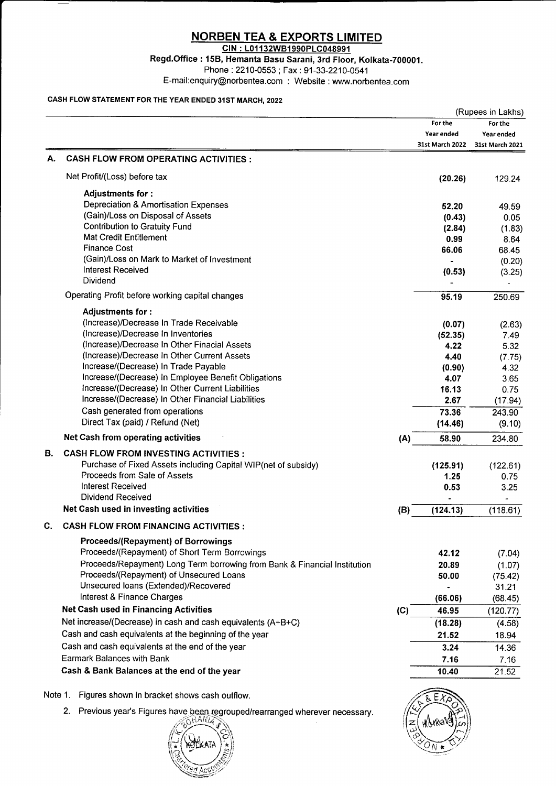## NORBEN TEA & EXPORTS LIMITED

GIN : L01132WB1990PLC048991

Regd.Office : 15B, Hemanta Basu Sarani, 3rd Floor, Kolkata-700001 Phone: 2210-0553; Fax: 91-33-2210-0541

E-mail:enquiry@norbentea.com : Website : www.norbentea.com

#### CASH FLOW STATEMENT FOR THE YEAR ENDED 31ST MARCH, 2022

|         |                                                                                 | (Rupees in Lakhs) |                 |                  |  |
|---------|---------------------------------------------------------------------------------|-------------------|-----------------|------------------|--|
|         |                                                                                 |                   | For the         | For the          |  |
|         |                                                                                 |                   | Year ended      | Year ended       |  |
|         |                                                                                 |                   | 31st March 2022 | 31st March 2021  |  |
| А.      | <b>CASH FLOW FROM OPERATING ACTIVITIES:</b>                                     |                   |                 |                  |  |
|         | Net Profit/(Loss) before tax                                                    |                   | (20.26)         | 129.24           |  |
|         | Adjustments for :                                                               |                   |                 |                  |  |
|         | Depreciation & Amortisation Expenses                                            |                   | 52.20           | 49.59            |  |
|         | (Gain)/Loss on Disposal of Assets                                               |                   | (0.43)          | 0.05             |  |
|         | <b>Contribution to Gratuity Fund</b>                                            |                   | (2.84)          | (1.83)           |  |
|         | <b>Mat Credit Entitlement</b>                                                   |                   | 0.99            | 8.64             |  |
|         | <b>Finance Cost</b>                                                             |                   | 66.06           | 68.45            |  |
|         | (Gain)/Loss on Mark to Market of Investment<br><b>Interest Received</b>         |                   |                 | (0.20)           |  |
|         | Dividend                                                                        |                   | (0.53)          | (3.25)           |  |
|         | Operating Profit before working capital changes                                 |                   | 95.19           | 250.69           |  |
|         | Adjustments for:                                                                |                   |                 |                  |  |
|         | (Increase)/Decrease In Trade Receivable                                         |                   | (0.07)          | (2.63)           |  |
|         | (Increase)/Decrease In Inventories                                              |                   | (52.35)         | 7.49             |  |
|         | (Increase)/Decrease In Other Finacial Assets                                    |                   | 4.22            | 5.32             |  |
|         | (Increase)/Decrease In Other Current Assets                                     |                   | 4.40            | (7.75)           |  |
|         | Increase/(Decrease) In Trade Payable                                            |                   | (0.90)          | 4.32             |  |
|         | Increase/(Decrease) In Employee Benefit Obligations                             |                   | 4.07            | 3.65             |  |
|         | Increase/(Decrease) In Other Current Liabilities                                |                   | 16.13           | 0.75             |  |
|         | Increase/(Decrease) In Other Financial Liabilities                              |                   | 2.67            | (17.94)          |  |
|         | Cash generated from operations                                                  |                   | 73.36           | 243.90           |  |
|         | Direct Tax (paid) / Refund (Net)                                                |                   | (14.46)         | (9.10)           |  |
|         | Net Cash from operating activities                                              | (A)               | 58.90           | 234.80           |  |
| В.      | <b>CASH FLOW FROM INVESTING ACTIVITIES:</b>                                     |                   |                 |                  |  |
|         | Purchase of Fixed Assets including Capital WIP(net of subsidy)                  |                   | (125.91)        | (122.61)         |  |
|         | Proceeds from Sale of Assets                                                    |                   | 1.25            | 0.75             |  |
|         | <b>Interest Received</b><br><b>Dividend Received</b>                            |                   | 0.53            | 3.25             |  |
|         | Net Cash used in investing activities                                           |                   | (124.13)        |                  |  |
|         |                                                                                 | (B)               |                 | (118.61)         |  |
| С       | <b>CASH FLOW FROM FINANCING ACTIVITIES:</b>                                     |                   |                 |                  |  |
|         | <b>Proceeds/(Repayment) of Borrowings</b>                                       |                   |                 |                  |  |
|         | Proceeds/(Repayment) of Short Term Borrowings                                   |                   | 42.12           | (7.04)           |  |
|         | Proceeds/Repayment) Long Term borrowing from Bank & Financial Institution       |                   | 20.89           | (1.07)           |  |
|         | Proceeds/(Repayment) of Unsecured Loans<br>Unsecured loans (Extended)/Recovered |                   | 50.00           | (75.42)          |  |
|         | Interest & Finance Charges                                                      |                   | (66.06)         | 31.21<br>(68.45) |  |
|         | <b>Net Cash used in Financing Activities</b>                                    | (C)               | 46.95           |                  |  |
|         | Net increase/(Decrease) in cash and cash equivalents (A+B+C)                    |                   | (18.28)         | (120.77)         |  |
|         | Cash and cash equivalents at the beginning of the year                          |                   | 21.52           | (4.58)<br>18.94  |  |
|         | Cash and cash equivalents at the end of the year                                |                   | 3.24            |                  |  |
|         | Earmark Balances with Bank                                                      |                   |                 | 14.36            |  |
|         | Cash & Bank Balances at the end of the year                                     |                   | 7.16<br>10.40   | 7.16<br>21.52    |  |
|         |                                                                                 |                   |                 |                  |  |
| Note 1. | Figures shown in bracket shows cash outflow.                                    |                   |                 |                  |  |

2. Previous year's Figures have been regrouped/rearranged wherever necessary.



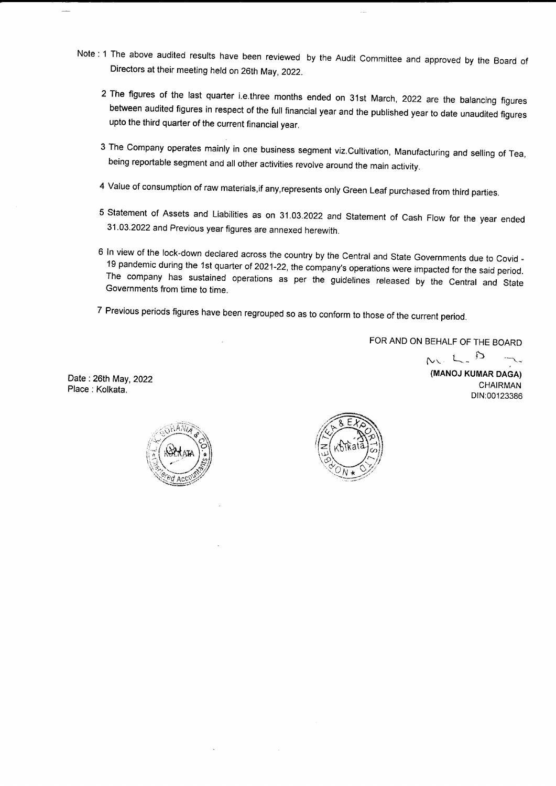- Note : 1 The above audited results have been reviewed by the Audit committee and approved by the Board of Directors at their meeting held on 26th May,2022.
	- 2 The figures of the last quarter i.e.three months ended on 31st March, 2022 are the balancing figures between audited figures in respect of the full financial year and the published year to date unaudited figures upto the third quarter of the current financial year.
	- 3 The Company operates mainly in one business segment viz.cultivation, Manufacturing and selling of Tea, being reportable segment and all other activities revolve around the main activity.
	- <sup>4</sup>Value of consumption of raw materials,if any,represents only Green Leaf purchased from third parties.
	- <sup>5</sup>statement of Assets and Liabilities as on 31.03.2022 and statement of cash Flow for the year ended 31.03.2022 and Previous year figures are annexed herewith.
	- <sup>6</sup>ln view of the lock-down declared across the country by the central and State Governments due to covid The company has sustained operations as per the guidelines released by the Central and State<br>Governments from time to time
	- <sup>7</sup>Previous periods figures have been regrouped so as to conform to those of the current period.

FOR AND ON BEHALF OF THE BOARD

Date:26th May,2022 Place: Kolkata.





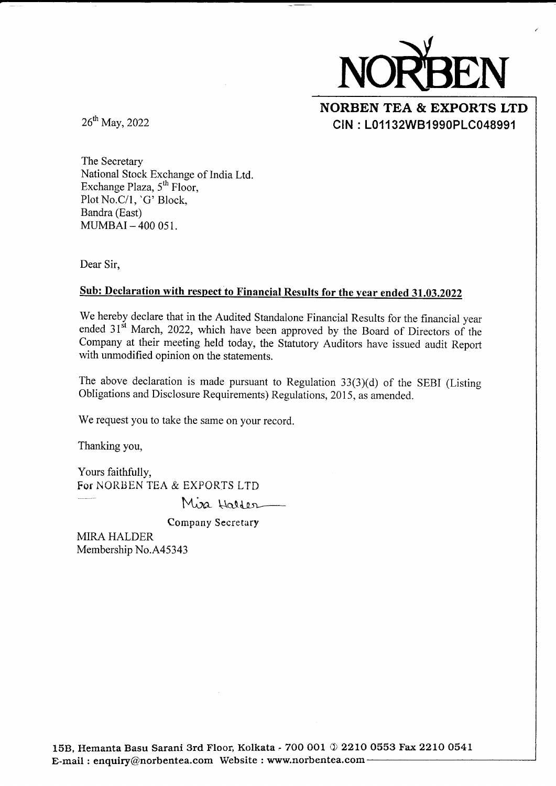

## NORBEN TEA & EXPORTS LTD CIN : L01132W81990PLC048991

26<sup>th</sup> May, 2022

The Secretary National Stock Exchange of India Ltd. Exchange Plaza,  $5<sup>th</sup>$  Floor, Plot No.C/l, 'G' Block, Bandra (East)  $MUMBAI - 400051$ .

Dear Sir,

### Sub: Declaration with respect to Financial Results for the year ended 31.03.2022

We hereby declare that in the Audited Standalone Financial Results for the financial year ended  $31<sup>st</sup>$  March, 2022, which have been approved by the Board of Directors of the Company at their meeting held today, the Statutory Auditors have issued audit Report with unmodified opinion on the statements.

The above declaration is made pursuant to Regulation 33(3)(d) of the SEBI (Listing Obligations and Disclosure Requirements) Regulations, 2015, as amended.

We request you to take the same on your record.

Thanking you,

Yours faithfully, For NORBEN TEA & EXPORTS LTD

Miza Halder

Company Secretary

MIRA HALDER Membership No.A45343